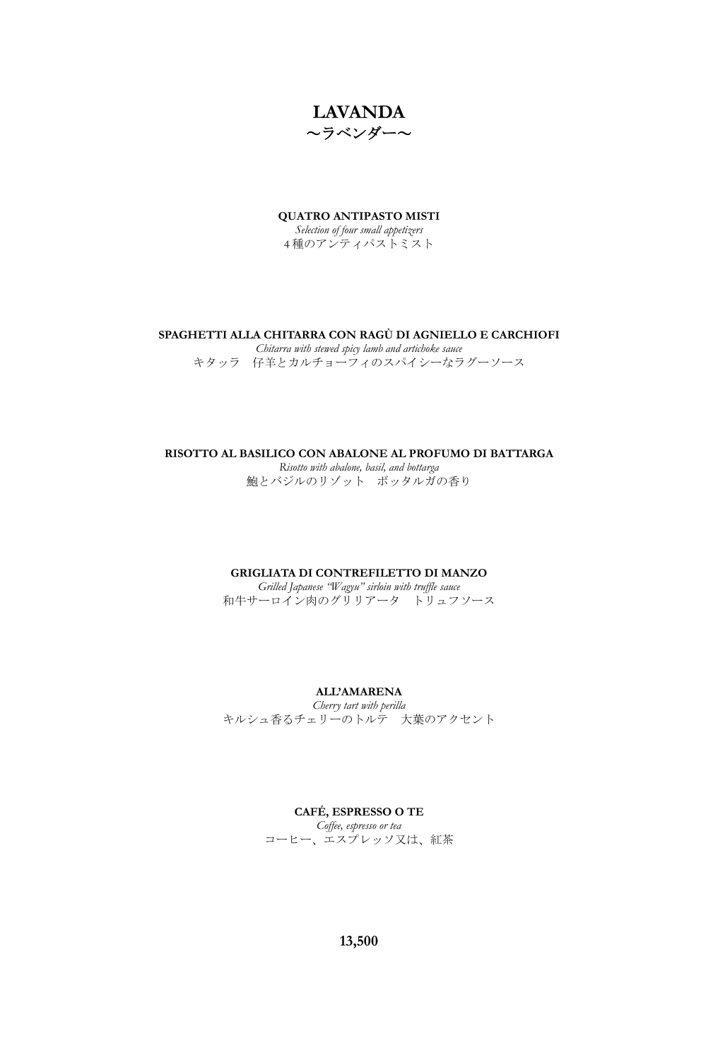

**QUATRO ANTIPASTO MISTI**

*Selection of four small appetizers* 4 種のアンティパストミスト

### **SPAGHETTI ALLA CHITARRA CON RAGÙ DI AGNIELLO E CARCHIOFI**

*Chitarra with stewed spicy lamb and artichoke sauce* キタッラ 仔羊とカルチョーフィのスパイシーなラグーソース

# **RISOTTO AL BASILICO CON ABALONE AL PROFUMO DI BATTARGA**

*Risotto with abalone, basil, and bottarga* 鮑とバジルのリゾット ボッタルガの香り

### **GRIGLIATA DI CONTREFILETTO DI MANZO**

*Grilled Japanese "Wagyu" sirloin with truffle sauce* 和牛サーロイン肉のグリリアータ トリュフソース

### **ALL'AMARENA**

*Cherry tart with perilla*  キルシュ香るチェリーのトルテ 大葉のアクセント

### **CAFÉ, ESPRESSO O TE**

*Coffee, espresso or tea* コーヒー、エスプレッソ又は、紅茶

**13,500**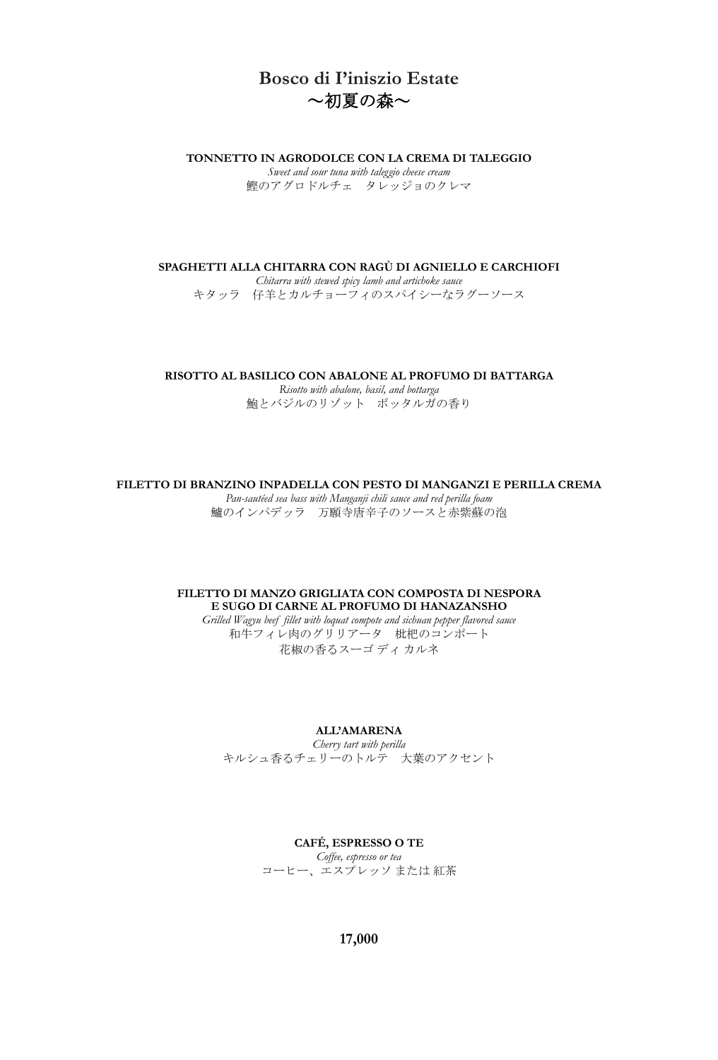# **Bosco di I'iniszio Estate** ~初夏の森~

**TONNETTO IN AGRODOLCE CON LA CREMA DI TALEGGIO**

*Sweet and sour tuna with taleggio cheese cream* 鰹のアグロドルチェ タレッジョのクレマ

**SPAGHETTI ALLA CHITARRA CON RAGÙ DI AGNIELLO E CARCHIOFI**

*Chitarra with stewed spicy lamb and artichoke sauce* キタッラ 仔羊とカルチョーフィのスパイシーなラグーソース

**RISOTTO AL BASILICO CON ABALONE AL PROFUMO DI BATTARGA**

*Risotto with abalone, basil, and bottarga* 鮑とバジルのリゾット ボッタルガの香り

**FILETTO DI BRANZINO INPADELLA CON PESTO DI MANGANZI E PERILLA CREMA**

*Pan-sautéed sea bass with Manganji chili sauce and red perilla foam* 鱸のインパデッラ 万願寺唐辛子のソースと赤紫蘇の泡

# **FILETTO DI MANZO GRIGLIATA CON COMPOSTA DI NESPORA E SUGO DI CARNE AL PROFUMO DI HANAZANSHO**

*Grilled Wagyu beef fillet with loquat compote and sichuan pepper flavored sauce* 和牛フィレ肉のグリリアータ 枇杷のコンポート 花椒の香るスーゴ ディ カルネ

**ALL'AMARENA**

*Cherry tart with perilla*  キルシュ香るチェリーのトルテ 大葉のアクセント

# **CAFÉ, ESPRESSO O TE** *Coffee, espresso or tea* コーヒー、エスプレッソ または 紅茶

**17,000**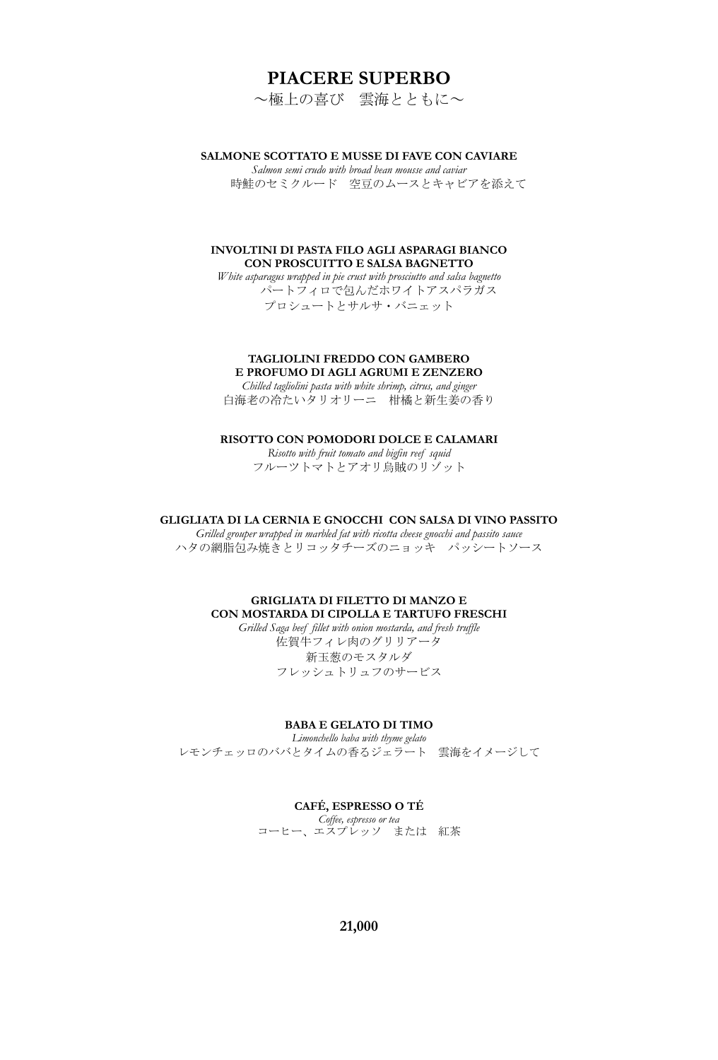# **PIACERE SUPERBO**

~極上の喜び 雲海とともに~

### **SALMONE SCOTTATO E MUSSE DI FAVE CON CAVIARE**

*Salmon semi crudo with broad bean mousse and caviar* 時鮭のセミクルード 空豆のムースとキャビアを添えて

### **INVOLTINI DI PASTA FILO AGLI ASPARAGI BIANCO CON PROSCUITTO E SALSA BAGNETTO**

*White asparagus wrapped in pie crust with prosciutto and salsa bagnetto* パートフィロで包んだホワイトアスパラガス プロシュートとサルサ・バニェット

#### **TAGLIOLINI FREDDO CON GAMBERO E PROFUMO DI AGLI AGRUMI E ZENZERO**

*Chilled tagliolini pasta with white shrimp, citrus, and ginger* 白海老の冷たいタリオリーニ 柑橘と新生姜の香り

**RISOTTO CON POMODORI DOLCE E CALAMARI**

*Risotto with fruit tomato and bigfin reef squid* フルーツトマトとアオリ烏賊のリゾット

#### **GLIGLIATA DI LA CERNIA E GNOCCHI CON SALSA DI VINO PASSITO**

*Grilled grouper wrapped in marbled fat with ricotta cheese gnocchi and passito sauce* ハタの網脂包み焼きとリコッタチーズのニョッキ パッシートソース

## **GRIGLIATA DI FILETTO DI MANZO E CON MOSTARDA DI CIPOLLA E TARTUFO FRESCHI**

*Grilled Saga beef fillet with onion mostarda, and fresh truffle* 佐賀牛フィレ肉のグリリアータ 新玉葱のモスタルダ フレッシュトリュフのサービス

# **BABA E GELATO DI TIMO**

*Limonchello baba with thyme gelato* レモンチェッロのババとタイムの香るジェラート 雲海をイメージして

#### **CAFÉ, ESPRESSO O TÉ**

*Coffee, espresso or tea* コーヒー、エスプレッソ または 紅茶

**21,000**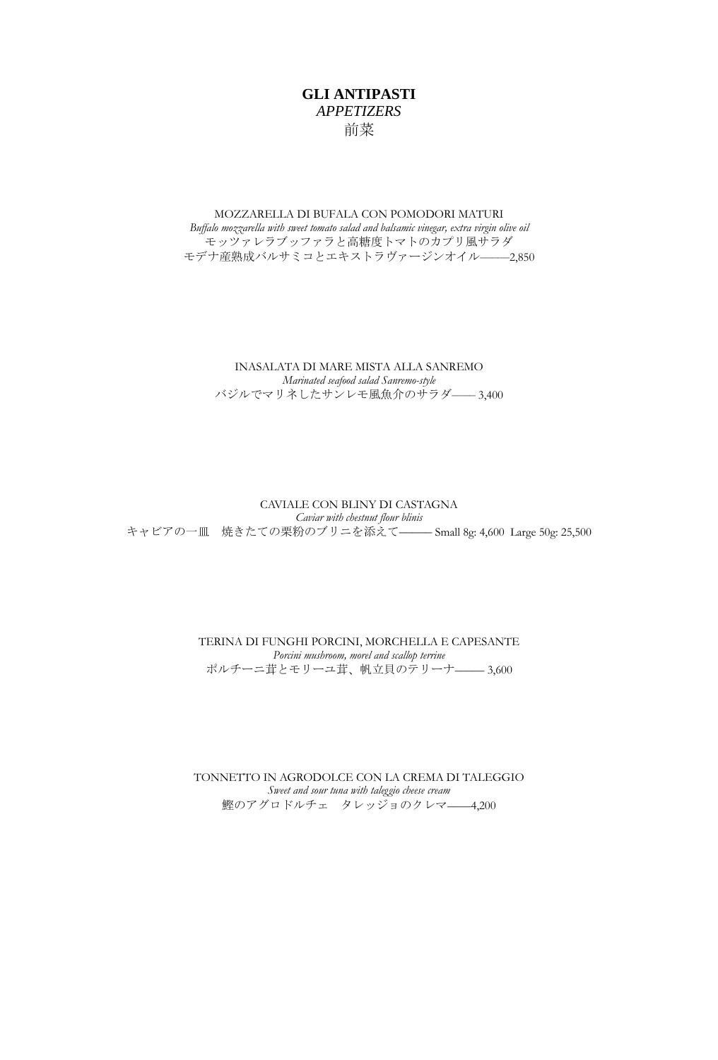# **GLI ANTIPASTI** *APPETIZERS* 前菜

## MOZZARELLA DI BUFALA CON POMODORI MATURI *Buffalo mozzarella with sweet tomato salad and balsamic vinegar, extra virgin olive oil* モッツァレラブッファラと高糖度トマトのカプリ風サラダ モデナ産熟成バルサミコとエキストラヴァージンオイル––––2,850

INASALATA DI MARE MISTA ALLA SANREMO *Marinated seafood salad Sanremo-style* バジルでマリネしたサンレモ風魚介のサラダ–––– 3,400

### CAVIALE CON BLINY DI CASTAGNA *Caviar with chestnut flour blinis* キャビアの一皿 焼きたての栗粉のブリニを添えて––––– Small 8g: 4,600 Large 50g: 25,500

TERINA DI FUNGHI PORCINI, MORCHELLA E CAPESANTE *Porcini mushroom, morel and scallop terrine* ポルチーニ茸とモリーユ茸、帆立貝のテリーナ–––– 3,600

TONNETTO IN AGRODOLCE CON LA CREMA DI TALEGGIO *Sweet and sour tuna with taleggio cheese cream* 鰹のアグロドルチェ タレッジョのクレマ––––4,200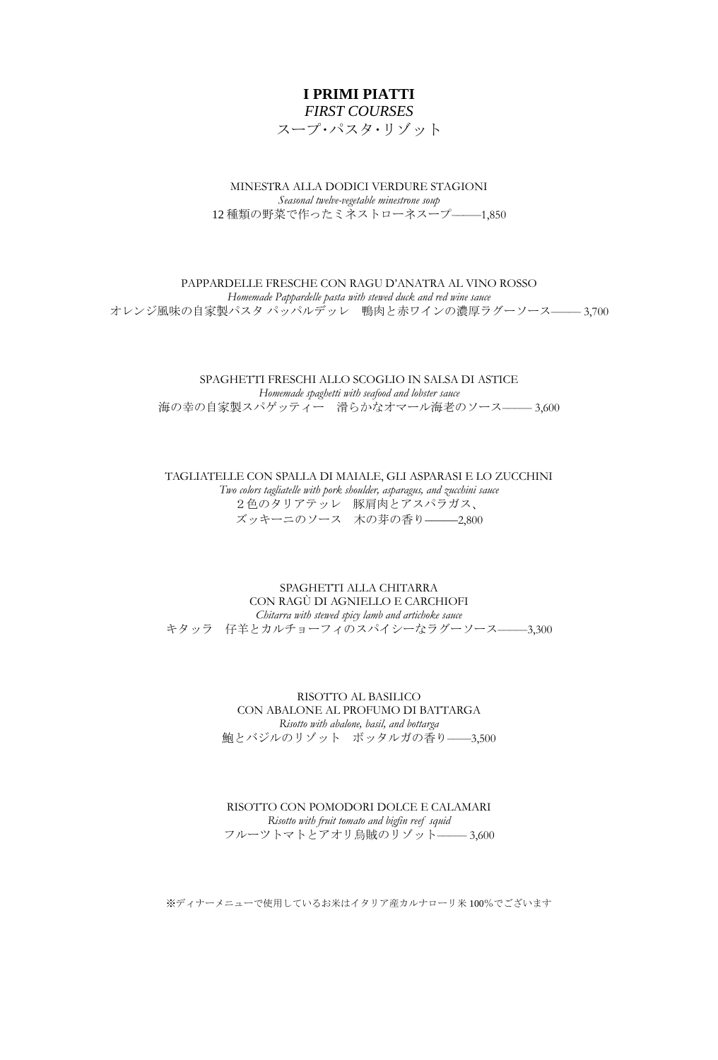# **I PRIMI PIATTI** *FIRST COURSES*

スープ・パスタ・リゾット

MINESTRA ALLA DODICI VERDURE STAGIONI *Seasonal twelve-vegetable minestrone soup* 12 種類の野菜で作ったミネストローネスープ––––1,850

### PAPPARDELLE FRESCHE CON RAGU D'ANATRA AL VINO ROSSO *Homemade Pappardelle pasta with stewed duck and red wine sauce* オレンジ風味の自家製パスタ パッパルデッレ 鴨肉と赤ワインの濃厚ラグーソース–––––3,700

# SPAGHETTI FRESCHI ALLO SCOGLIO IN SALSA DI ASTICE *Homemade spaghetti with seafood and lobster sauce* 海の幸の自家製スパゲッティー 滑らかなオマール海老のソース–––––3,600

TAGLIATELLE CON SPALLA DI MAIALE, GLI ASPARASI E LO ZUCCHINI *Two colors tagliatelle with pork shoulder, asparagus, and zucchini sauce* 2色のタリアテッレ 豚肩肉とアスパラガス、 ズッキーニのソース 木の芽の香り–––––2,800

### SPAGHETTI ALLA CHITARRA CON RAGÙ DI AGNIELLO E CARCHIOFI *Chitarra with stewed spicy lamb and artichoke sauce* キタッラ 仔羊とカルチョーフィのスパイシーなラグーソース––––3,300

RISOTTO AL BASILICO CON ABALONE AL PROFUMO DI BATTARGA *Risotto with abalone, basil, and bottarga* 鮑とバジルのリゾット ボッタルガの香り––––3,500

RISOTTO CON POMODORI DOLCE E CALAMARI *Risotto with fruit tomato and bigfin reef squid* フルーツトマトとアオリ烏賊のリゾット––––– 3,600

※ディナーメニューで使用しているお米はイタリア産カルナローリ米 100%でございます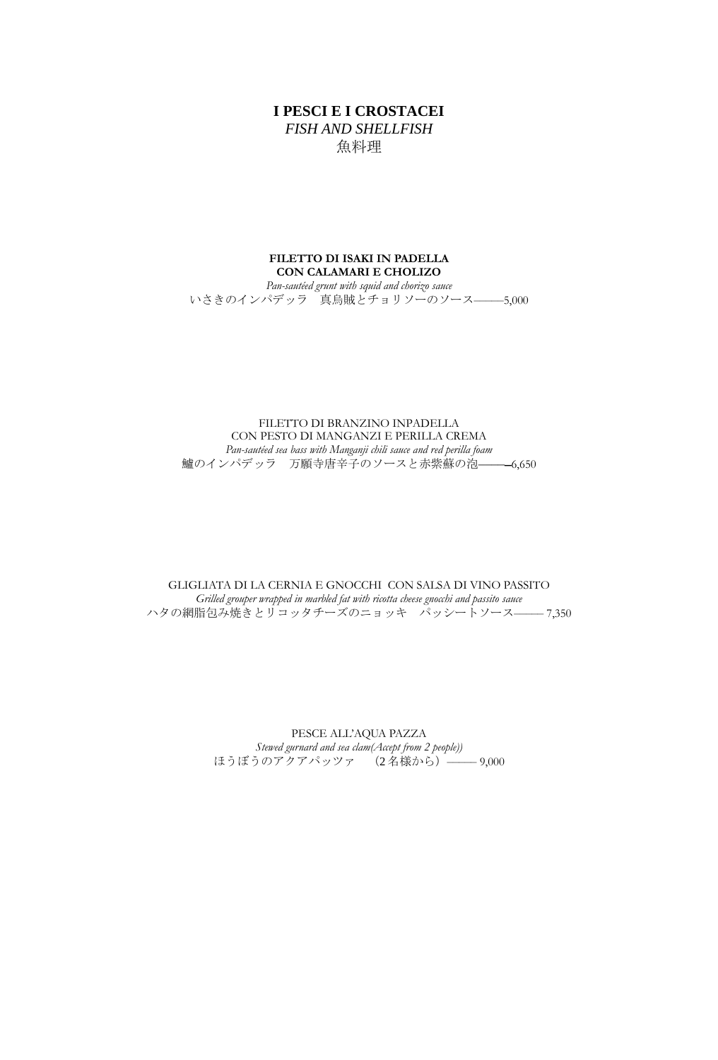# **I PESCI E I CROSTACEI** *FISH AND SHELLFISH* 魚料理

### **FILETTO DI ISAKI IN PADELLA CON CALAMARI E CHOLIZO** *Pan-sautéed grunt with squid and chorizo sauce* いさきのインパデッラ 真烏賊とチョリソーのソース––––––––5,000

FILETTO DI BRANZINO INPADELLA CON PESTO DI MANGANZI E PERILLA CREMA *Pan-sautéed sea bass with Manganji chili sauce and red perilla foam* 鱸のインパデッラ 万願寺唐辛子のソースと赤紫蘇の泡–––––6,650

GLIGLIATA DI LA CERNIA E GNOCCHI CON SALSA DI VINO PASSITO *Grilled grouper wrapped in marbled fat with ricotta cheese gnocchi and passito sauce* ハタの網脂包み焼きとリコッタチーズのニョッキ パッシートソース––––7,350

> PESCE ALL'AQUA PAZZA *Stewed gurnard and sea clam(Accept from 2 people))* ほうぼうのアクアパッツァ (2名様から) –––– 9,000